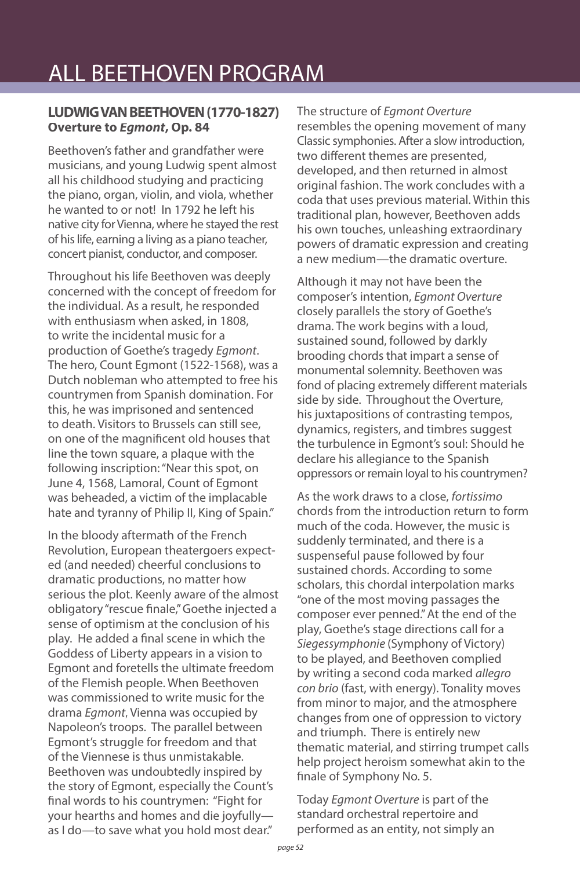#### **LUDWIG VAN BEETHOVEN (1770-1827) Overture to** *Egmont***, Op. 84**

Beethoven's father and grandfather were musicians, and young Ludwig spent almost all his childhood studying and practicing the piano, organ, violin, and viola, whether he wanted to or not! In 1792 he left his native city for Vienna, where he stayed the rest of his life, earning a living as a piano teacher, concert pianist, conductor, and composer.

Throughout his life Beethoven was deeply concerned with the concept of freedom for the individual. As a result, he responded with enthusiasm when asked, in 1808, to write the incidental music for a production of Goethe's tragedy *Egmont*. The hero, Count Egmont (1522-1568), was a Dutch nobleman who attempted to free his countrymen from Spanish domination. For this, he was imprisoned and sentenced to death. Visitors to Brussels can still see, on one of the magnificent old houses that line the town square, a plaque with the following inscription: "Near this spot, on June 4, 1568, Lamoral, Count of Egmont was beheaded, a victim of the implacable hate and tyranny of Philip II, King of Spain."

In the bloody aftermath of the French Revolution, European theatergoers expected (and needed) cheerful conclusions to dramatic productions, no matter how serious the plot. Keenly aware of the almost obligatory "rescue finale," Goethe injected a sense of optimism at the conclusion of his play. He added a final scene in which the Goddess of Liberty appears in a vision to Egmont and foretells the ultimate freedom of the Flemish people. When Beethoven was commissioned to write music for the drama *Egmont*, Vienna was occupied by Napoleon's troops. The parallel between Egmont's struggle for freedom and that of the Viennese is thus unmistakable. Beethoven was undoubtedly inspired by the story of Egmont, especially the Count's final words to his countrymen: "Fight for your hearths and homes and die joyfully as I do—to save what you hold most dear."

The structure of *Egmont Overture*  resembles the opening movement of many Classic symphonies. After a slow introduction, two different themes are presented. developed, and then returned in almost original fashion. The work concludes with a coda that uses previous material. Within this traditional plan, however, Beethoven adds his own touches, unleashing extraordinary powers of dramatic expression and creating a new medium—the dramatic overture.

Although it may not have been the composer's intention, *Egmont Overture*  closely parallels the story of Goethe's drama. The work begins with a loud, sustained sound, followed by darkly brooding chords that impart a sense of monumental solemnity. Beethoven was fond of placing extremely different materials side by side. Throughout the Overture, his juxtapositions of contrasting tempos, dynamics, registers, and timbres suggest the turbulence in Egmont's soul: Should he declare his allegiance to the Spanish oppressors or remain loyal to his countrymen?

As the work draws to a close, *fortissimo*  chords from the introduction return to form much of the coda. However, the music is suddenly terminated, and there is a suspenseful pause followed by four sustained chords. According to some scholars, this chordal interpolation marks "one of the most moving passages the composer ever penned." At the end of the play, Goethe's stage directions call for a *Siegessymphonie* (Symphony of Victory) to be played, and Beethoven complied by writing a second coda marked *allegro con brio* (fast, with energy). Tonality moves from minor to major, and the atmosphere changes from one of oppression to victory and triumph. There is entirely new thematic material, and stirring trumpet calls help project heroism somewhat akin to the finale of Symphony No. 5.

Today *Egmont Overture* is part of the standard orchestral repertoire and performed as an entity, not simply an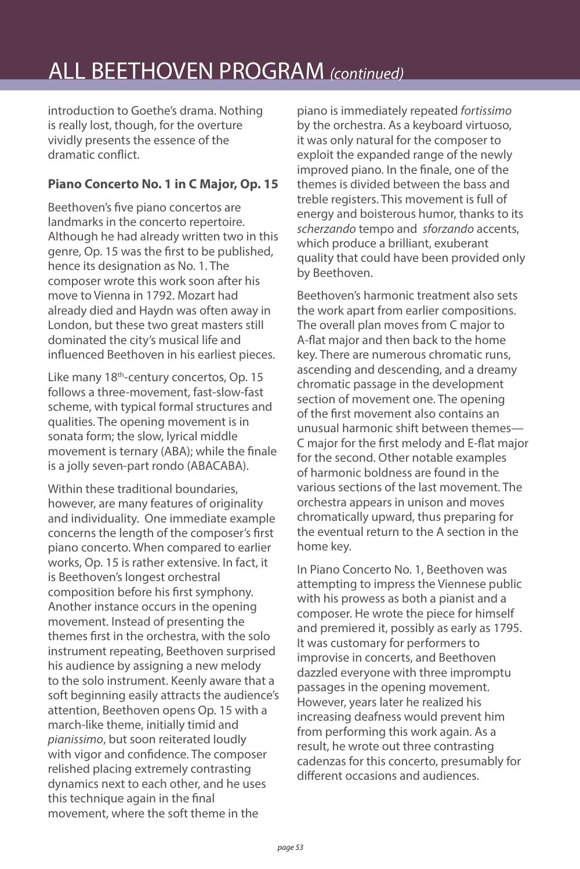# ALL BEETHOVEN PROGRAM *(continued)*

introduction to Goethe's drama. Nothing is really lost, though, for the overture vividly presents the essence of the dramatic conflict.

#### **Piano Concerto No. 1 in C Major, Op. 15**

Beethoven's five piano concertos are landmarks in the concerto repertoire. Although he had already written two in this genre, Op. 15 was the first to be published, hence its designation as No. 1. The composer wrote this work soon after his move to Vienna in 1792. Mozart had already died and Haydn was often away in London, but these two great masters still dominated the city's musical life and influenced Beethoven in his earliest pieces.

Like many 18<sup>th</sup>-century concertos, Op. 15 follows a three-movement, fast-slow-fast scheme, with typical formal structures and qualities. The opening movement is in sonata form; the slow, lyrical middle movement is ternary (ABA); while the finale is a jolly seven-part rondo (ABACABA).

Within these traditional boundaries, however, are many features of originality and individuality. One immediate example concerns the length of the composer's first piano concerto. When compared to earlier works, Op. 15 is rather extensive. In fact, it is Beethoven's longest orchestral composition before his first symphony. Another instance occurs in the opening movement. Instead of presenting the themes first in the orchestra, with the solo instrument repeating, Beethoven surprised his audience by assigning a new melody to the solo instrument. Keenly aware that a soft beginning easily attracts the audience's attention, Beethoven opens Op. 15 with a march-like theme, initially timid and *pianissimo*, but soon reiterated loudly with vigor and confidence. The composer relished placing extremely contrasting dynamics next to each other, and he uses this technique again in the final movement, where the soft theme in the

piano is immediately repeated *fortissimo* by the orchestra. As a keyboard virtuoso, it was only natural for the composer to exploit the expanded range of the newly improved piano. In the finale, one of the themes is divided between the bass and treble registers. This movement is full of energy and boisterous humor, thanks to its *scherzando* tempo and *sforzando* accents, which produce a brilliant, exuberant quality that could have been provided only by Beethoven.

Beethoven's harmonic treatment also sets the work apart from earlier compositions. The overall plan moves from C major to A-flat major and then back to the home key. There are numerous chromatic runs, ascending and descending, and a dreamy chromatic passage in the development section of movement one. The opening of the first movement also contains an unusual harmonic shift between themes— C major for the first melody and E-flat major for the second. Other notable examples of harmonic boldness are found in the various sections of the last movement. The orchestra appears in unison and moves chromatically upward, thus preparing for the eventual return to the A section in the home key.

In Piano Concerto No. 1, Beethoven was attempting to impress the Viennese public with his prowess as both a pianist and a composer. He wrote the piece for himself and premiered it, possibly as early as 1795. It was customary for performers to improvise in concerts, and Beethoven dazzled everyone with three impromptu passages in the opening movement. However, years later he realized his increasing deafness would prevent him from performing this work again. As a result, he wrote out three contrasting cadenzas for this concerto, presumably for different occasions and audiences.